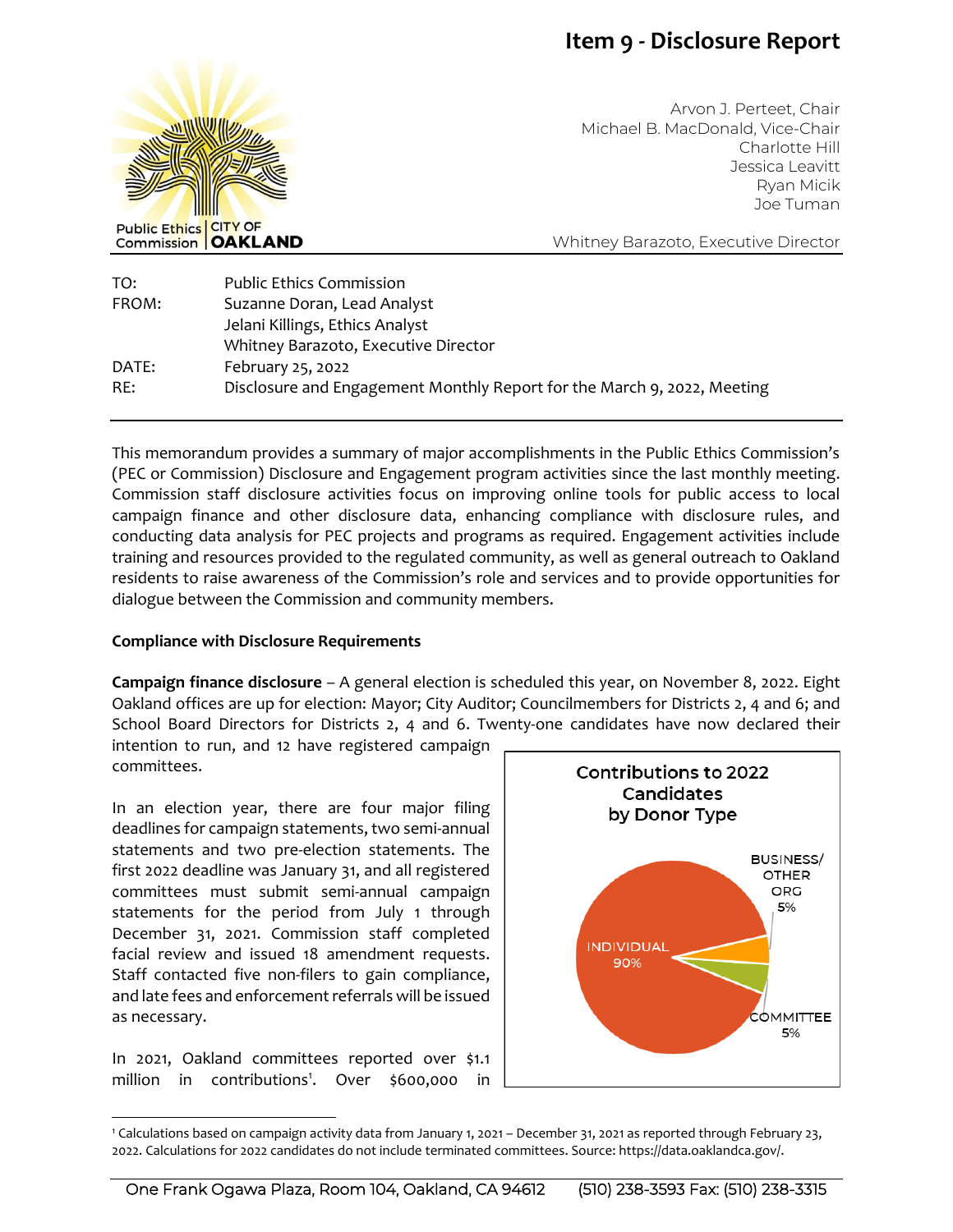## **Item 9 - Disclosure Report**



Arvon J. Perteet, Chair Michael B. MacDonald, Vice-Chair Charlotte Hill Jessica Leavitt Ryan Micik Joe Tuman

Whitney Barazoto, Executive Director

| TO:   | <b>Public Ethics Commission</b>                                         |
|-------|-------------------------------------------------------------------------|
| FROM: | Suzanne Doran, Lead Analyst                                             |
|       | Jelani Killings, Ethics Analyst                                         |
|       | Whitney Barazoto, Executive Director                                    |
| DATE: | February 25, 2022                                                       |
| RE:   | Disclosure and Engagement Monthly Report for the March 9, 2022, Meeting |

This memorandum provides a summary of major accomplishments in the Public Ethics Commission's (PEC or Commission) Disclosure and Engagement program activities since the last monthly meeting. Commission staff disclosure activities focus on improving online tools for public access to local campaign finance and other disclosure data, enhancing compliance with disclosure rules, and conducting data analysis for PEC projects and programs as required. Engagement activities include training and resources provided to the regulated community, as well as general outreach to Oakland residents to raise awareness of the Commission's role and services and to provide opportunities for dialogue between the Commission and community members.

## **Compliance with Disclosure Requirements**

**Campaign finance disclosure** – A general election is scheduled this year, on November 8, 2022. Eight Oakland offices are up for election: Mayor; City Auditor; Councilmembers for Districts 2, 4 and 6; and School Board Directors for Districts 2, 4 and 6. Twenty-one candidates have now declared their

intention to run, and 12 have registered campaign committees.

In an election year, there are four major filing deadlines for campaign statements, two semi-annual statements and two pre-election statements. The first 2022 deadline was January 31, and all registered committees must submit semi-annual campaign statements for the period from July 1 through December 31, 2021. Commission staff completed facial review and issued 18 amendment requests. Staff contacted five non-filers to gain compliance, and late fees and enforcement referrals will be issued as necessary.

In 2021, Oakland committees reported over \$1.1 million in contributions<sup>1</sup>. Over \$600,000 in



<sup>1</sup> Calculations based on campaign activity data from January 1, 2021 – December 31, 2021 as reported through February 23, 2022. Calculations for 2022 candidates do not include terminated committees. Source: https://data.oaklandca.gov/.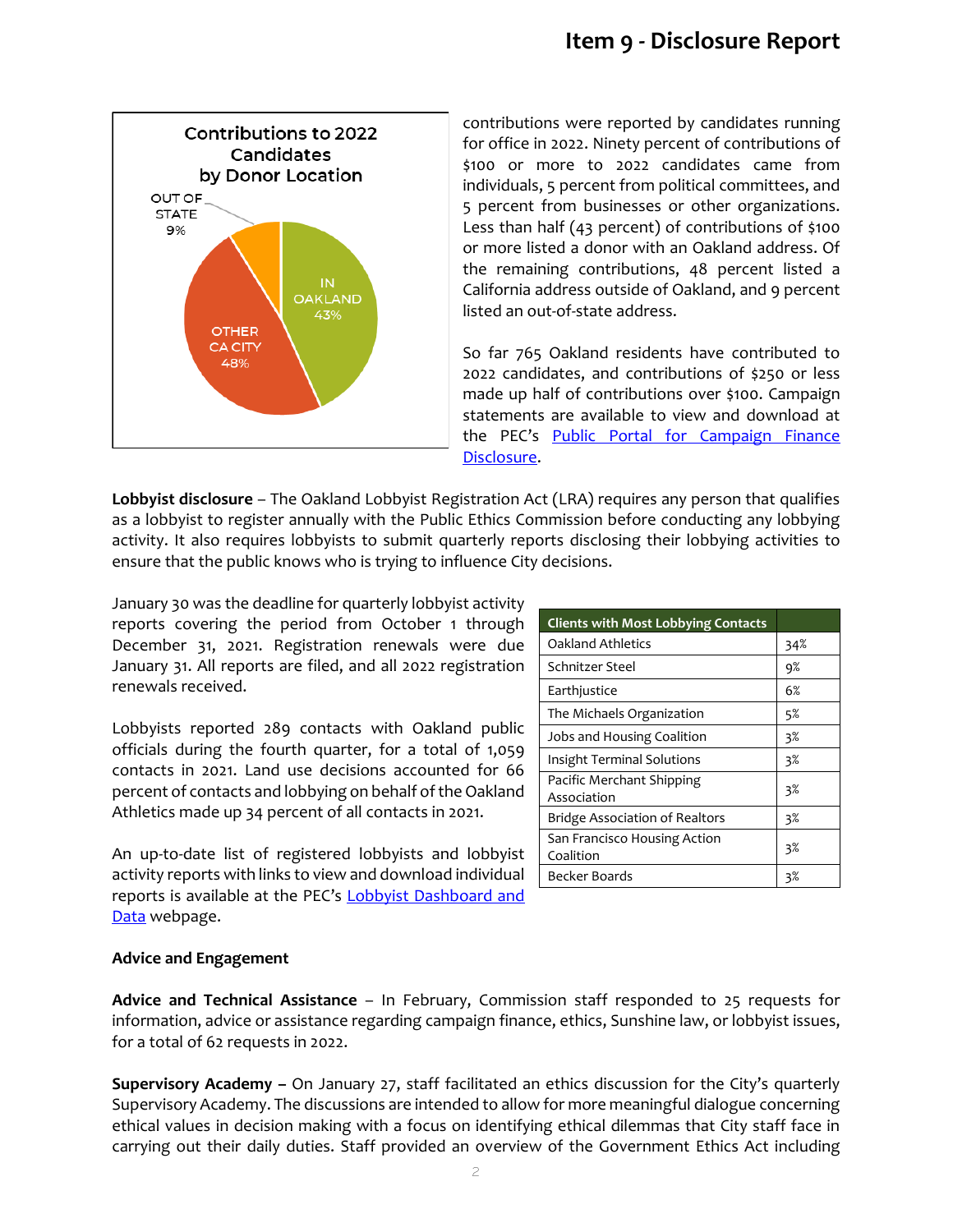

contributions were reported by candidates running for office in 2022. Ninety percent of contributions of \$100 or more to 2022 candidates came from individuals, 5 percent from political committees, and 5 percent from businesses or other organizations. Less than half (43 percent) of contributions of \$100 or more listed a donor with an Oakland address. Of the remaining contributions, 48 percent listed a California address outside of Oakland, and 9 percent listed an out-of-state address.

So far 765 Oakland residents have contributed to 2022 candidates, and contributions of \$250 or less made up half of contributions over \$100. Campaign statements are available to view and download at the PEC's Public Portal for Campaign Finance [Disclosure.](https://oaklandca-my.sharepoint.com/personal/sdoran_oaklandca_gov/Documents/Draft%20Memos/2022/Public%20Portal%20for%20Campaign%20Finance%20and%20Lobbyist%20Disclosure)

**Lobbyist disclosure** – The Oakland Lobbyist Registration Act (LRA) requires any person that qualifies as a lobbyist to register annually with the Public Ethics Commission before conducting any lobbying activity. It also requires lobbyists to submit quarterly reports disclosing their lobbying activities to ensure that the public knows who is trying to influence City decisions.

January 30 was the deadline for quarterly lobbyist activity reports covering the period from October 1 through December 31, 2021. Registration renewals were due January 31. All reports are filed, and all 2022 registration renewals received.

Lobbyists reported 289 contacts with Oakland public officials during the fourth quarter, for a total of 1,059 contacts in 2021. Land use decisions accounted for 66 percent of contacts and lobbying on behalf of the Oakland Athletics made up 34 percent of all contacts in 2021.

An up-to-date list of registered lobbyists and lobbyist activity reports with links to view and download individual reports is available at the PEC's **Lobbyist Dashboard and** [Data](https://apps.oaklandca.gov/pec/Lobbyist_Dashboard.aspx) webpage.

| <b>Clients with Most Lobbying Contacts</b> |     |
|--------------------------------------------|-----|
| Oakland Athletics                          | 34% |
| Schnitzer Steel                            | 9%  |
| Earthjustice                               | 6%  |
| The Michaels Organization                  | 5%  |
| Jobs and Housing Coalition                 | 3%  |
| <b>Insight Terminal Solutions</b>          | 3%  |
| Pacific Merchant Shipping<br>Association   | 3%  |
| <b>Bridge Association of Realtors</b>      | 3%  |
| San Francisco Housing Action<br>Coalition  | 3%  |
| Becker Boards                              | 3%  |

## **Advice and Engagement**

**Advice and Technical Assistance** – In February, Commission staff responded to 25 requests for information, advice or assistance regarding campaign finance, ethics, Sunshine law, or lobbyist issues, for a total of 62 requests in 2022.

**Supervisory Academy –** On January 27, staff facilitated an ethics discussion for the City's quarterly Supervisory Academy. The discussions are intended to allow for more meaningful dialogue concerning ethical values in decision making with a focus on identifying ethical dilemmas that City staff face in carrying out their daily duties. Staff provided an overview of the Government Ethics Act including